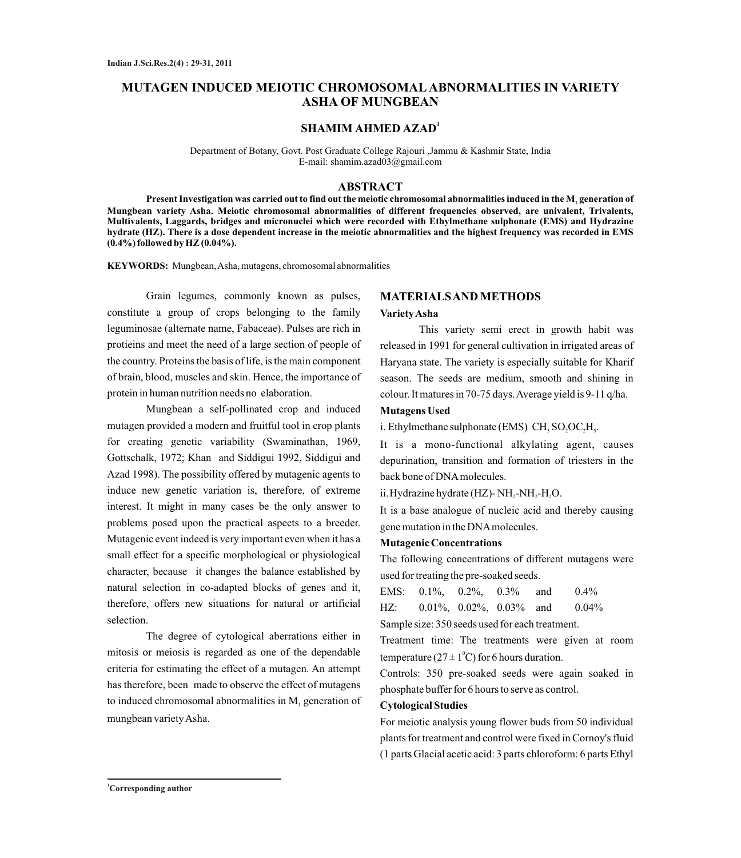# **MUTAGEN INDUCED MEIOTIC CHROMOSOMALABNORMALITIES IN VARIETY ASHA OF MUNGBEAN**

# **1 SHAMIM AHMED AZAD**

Department of Botany, Govt. Post Graduate College Rajouri ,Jammu & Kashmir State, India E-mail: shamim.azad03@gmail.com

# **ABSTRACT**

**Present Investigation was carried out to find out the meiotic chromosomal abnormalities induced in the M generation of <sup>1</sup> Mungbean variety Asha. Meiotic chromosomal abnormalities of different frequencies observed, are univalent, Trivalents, Multivalents, Laggards, bridges and micronuclei which were recorded with Ethylmethane sulphonate (EMS) and Hydrazine hydrate (HZ). There is a dose dependent increase in the meiotic abnormalities and the highest frequency was recorded in EMS (0.4%) followed by HZ (0.04%).**

**KEYWORDS:** Mungbean, Asha, mutagens, chromosomal abnormalities

Grain legumes, commonly known as pulses, constitute a group of crops belonging to the family leguminosae (alternate name, Fabaceae). Pulses are rich in protieins and meet the need of a large section of people of the country. Proteins the basis of life, is the main component of brain, blood, muscles and skin. Hence, the importance of protein in human nutrition needs no elaboration.

Mungbean a self-pollinated crop and induced mutagen provided a modern and fruitful tool in crop plants for creating genetic variability (Swaminathan, 1969, Gottschalk, 1972; Khan and Siddigui 1992, Siddigui and Azad 1998). The possibility offered by mutagenic agents to induce new genetic variation is, therefore, of extreme interest. It might in many cases be the only answer to problems posed upon the practical aspects to a breeder. Mutagenic event indeed is very important even when it has a small effect for a specific morphological or physiological character, because it changes the balance established by natural selection in co-adapted blocks of genes and it, therefore, offers new situations for natural or artificial selection.

The degree of cytological aberrations either in mitosis or meiosis is regarded as one of the dependable criteria for estimating the effect of a mutagen. An attempt has therefore, been made to observe the effect of mutagens to induced chromosomal abnormalities in  $M<sub>1</sub>$  generation of mungbean variety Asha.

# **MATERIALS AND METHODS**

#### **Variety Asha**

This variety semi erect in growth habit was released in 1991 for general cultivation in irrigated areas of Haryana state. The variety is especially suitable for Kharif season. The seeds are medium, smooth and shining in colour. It matures in 70-75 days. Average yield is 9-11 q/ha.

# **Mutagens Used**

i. Ethylmethane sulphonate (EMS)  $CH<sub>3</sub>SO<sub>2</sub>OC<sub>2</sub>H<sub>5</sub>$ .

It is a mono-functional alkylating agent, causes depurination, transition and formation of triesters in the back bone of DNAmolecules.

ii. Hydrazine hydrate (HZ)- NH,-NH,-H,O.

It is a base analogue of nucleic acid and thereby causing gene mutation in the DNAmolecules.

## **Mutagenic Concentrations**

The following concentrations of different mutagens were used for treating the pre-soaked seeds.

EMS:  $0.1\%$ ,  $0.2\%$ ,  $0.3\%$  and  $0.4\%$ HZ: 0.01%, 0.02%, 0.03% and 0.04%

Sample size: 350 seeds used for each treatment.

Treatment time: The treatments were given at room temperature ( $27 \pm 1$ <sup>o</sup>C) for 6 hours duration.

Controls: 350 pre-soaked seeds were again soaked in phosphate buffer for 6 hours to serve as control.

## **Cytological Studies**

For meiotic analysis young flower buds from 50 individual plants for treatment and control were fixed in Cornoy's fluid (1 parts Glacial acetic acid: 3 parts chloroform: 6 parts Ethyl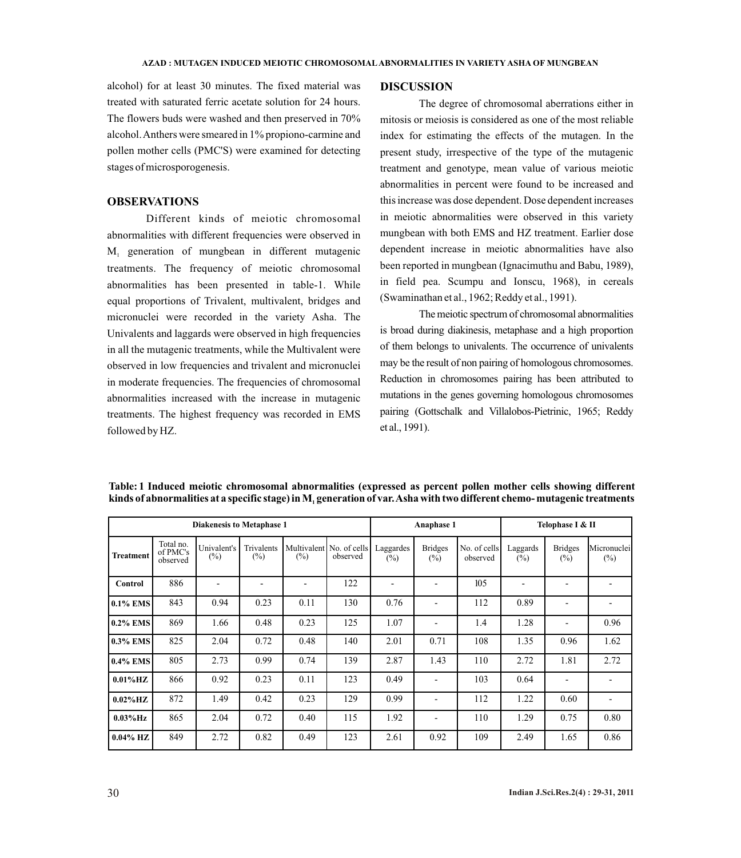alcohol) for at least 30 minutes. The fixed material was treated with saturated ferric acetate solution for 24 hours. The flowers buds were washed and then preserved in 70% alcohol. Anthers were smeared in 1% propiono-carmine and pollen mother cells (PMC'S) were examined for detecting stages of microsporogenesis.

# **OBSERVATIONS**

Different kinds of meiotic chromosomal abnormalities with different frequencies were observed in  $M_1$  generation of mungbean in different mutagenic treatments. The frequency of meiotic chromosomal abnormalities has been presented in table-1. While equal proportions of Trivalent, multivalent, bridges and micronuclei were recorded in the variety Asha. The Univalents and laggards were observed in high frequencies in all the mutagenic treatments, while the Multivalent were observed in low frequencies and trivalent and micronuclei in moderate frequencies. The frequencies of chromosomal abnormalities increased with the increase in mutagenic treatments. The highest frequency was recorded in EMS followed by HZ.

#### **DISCUSSION**

The degree of chromosomal aberrations either in mitosis or meiosis is considered as one of the most reliable index for estimating the effects of the mutagen. In the present study, irrespective of the type of the mutagenic treatment and genotype, mean value of various meiotic abnormalities in percent were found to be increased and this increase was dose dependent. Dose dependent increases in meiotic abnormalities were observed in this variety mungbean with both EMS and HZ treatment. Earlier dose dependent increase in meiotic abnormalities have also been reported in mungbean (Ignacimuthu and Babu, 1989), in field pea. Scumpu and Ionscu, 1968), in cereals (Swaminathan et al., 1962; Reddy et al., 1991).

The meiotic spectrum of chromosomal abnormalities is broad during diakinesis, metaphase and a high proportion of them belongs to univalents. The occurrence of univalents may be the result of non pairing of homologous chromosomes. Reduction in chromosomes pairing has been attributed to mutations in the genes governing homologous chromosomes pairing (Gottschalk and Villalobos-Pietrinic, 1965; Reddy et al., 1991).

| <b>Diakenesis to Metaphase 1</b> |                                   |                       |                      |        |                                      | Anaphase 1          |                                  |                          | Telophase I & II   |                          |                       |
|----------------------------------|-----------------------------------|-----------------------|----------------------|--------|--------------------------------------|---------------------|----------------------------------|--------------------------|--------------------|--------------------------|-----------------------|
| <b>Treatment</b>                 | Total no.<br>of PMC's<br>observed | Univalent's<br>$(\%)$ | Trivalents<br>$(\%)$ | $(\%)$ | Multivalent No. of cells<br>observed | Laggardes<br>$(\%)$ | <b>Bridges</b><br>$\binom{0}{0}$ | No. of cells<br>observed | Laggards<br>$(\%)$ | <b>Bridges</b><br>(%)    | Micronuclei<br>$(\%)$ |
| Control                          | 886                               |                       |                      |        | 122                                  |                     |                                  | 105                      |                    |                          |                       |
| 0.1% EMS                         | 843                               | 0.94                  | 0.23                 | 0.11   | 130                                  | 0.76                |                                  | 112                      | 0.89               |                          |                       |
| $0.2\%$ EMS                      | 869                               | 1.66                  | 0.48                 | 0.23   | 125                                  | 1.07                |                                  | 1.4                      | 1.28               | $\overline{\phantom{0}}$ | 0.96                  |
| 0.3% EMS                         | 825                               | 2.04                  | 0.72                 | 0.48   | 140                                  | 2.01                | 0.71                             | 108                      | 1.35               | 0.96                     | 1.62                  |
| 0.4% EMS                         | 805                               | 2.73                  | 0.99                 | 0.74   | 139                                  | 2.87                | 1.43                             | 110                      | 2.72               | 1.81                     | 2.72                  |
| $0.01\%$ HZ                      | 866                               | 0.92                  | 0.23                 | 0.11   | 123                                  | 0.49                | $\overline{\phantom{a}}$         | 103                      | 0.64               | $\overline{\phantom{a}}$ |                       |
| $0.02\%$ HZ                      | 872                               | 1.49                  | 0.42                 | 0.23   | 129                                  | 0.99                |                                  | 112                      | 1.22               | 0.60                     |                       |
| $0.03\%$ Hz                      | 865                               | 2.04                  | 0.72                 | 0.40   | 115                                  | 1.92                |                                  | 110                      | 1.29               | 0.75                     | 0.80                  |
| $0.04\%$ HZ                      | 849                               | 2.72                  | 0.82                 | 0.49   | 123                                  | 2.61                | 0.92                             | 109                      | 2.49               | 1.65                     | 0.86                  |

**Table: 1 Induced meiotic chromosomal abnormalities (expressed as percent pollen mother cells showing different kinds of abnormalities at a specific stage) in M generation of var. Asha with two different chemo- mutagenic treatments <sup>1</sup>**